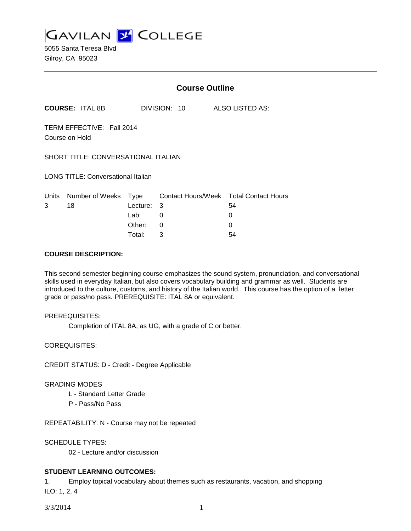**GAVILAN Z COLLEGE** 

5055 Santa Teresa Blvd Gilroy, CA 95023

|                                             |                        | <b>Course Outline</b>                               |                  |                                                              |  |
|---------------------------------------------|------------------------|-----------------------------------------------------|------------------|--------------------------------------------------------------|--|
|                                             | <b>COURSE: ITAL 8B</b> |                                                     | DIVISION: 10     | <b>ALSO LISTED AS:</b>                                       |  |
| TERM EFFECTIVE: Fall 2014<br>Course on Hold |                        |                                                     |                  |                                                              |  |
| SHORT TITLE: CONVERSATIONAL ITALIAN         |                        |                                                     |                  |                                                              |  |
| <b>LONG TITLE: Conversational Italian</b>   |                        |                                                     |                  |                                                              |  |
| Units<br>3                                  | Number of Weeks<br>18  | <u>Type</u><br>Lecture:<br>Lab:<br>Other:<br>Total: | 3<br>0<br>0<br>3 | Contact Hours/Week Total Contact Hours<br>54<br>0<br>0<br>54 |  |

#### **COURSE DESCRIPTION:**

This second semester beginning course emphasizes the sound system, pronunciation, and conversational skills used in everyday Italian, but also covers vocabulary building and grammar as well. Students are introduced to the culture, customs, and history of the Italian world. This course has the option of a letter grade or pass/no pass. PREREQUISITE: ITAL 8A or equivalent.

#### PREREQUISITES:

Completion of ITAL 8A, as UG, with a grade of C or better.

COREQUISITES:

CREDIT STATUS: D - Credit - Degree Applicable

#### GRADING MODES

- L Standard Letter Grade
- P Pass/No Pass

REPEATABILITY: N - Course may not be repeated

SCHEDULE TYPES:

02 - Lecture and/or discussion

## **STUDENT LEARNING OUTCOMES:**

1. Employ topical vocabulary about themes such as restaurants, vacation, and shopping ILO: 1, 2, 4

3/3/2014 1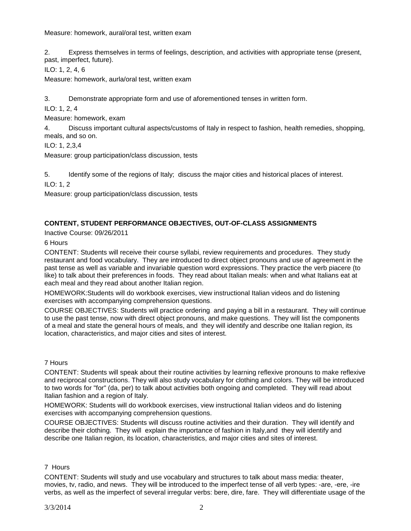Measure: homework, aural/oral test, written exam

2. Express themselves in terms of feelings, description, and activities with appropriate tense (present, past, imperfect, future).

ILO: 1, 2, 4, 6

Measure: homework, aurla/oral test, written exam

3. Demonstrate appropriate form and use of aforementioned tenses in written form.

ILO: 1, 2, 4

Measure: homework, exam

4. Discuss important cultural aspects/customs of Italy in respect to fashion, health remedies, shopping, meals, and so on.

ILO: 1, 2,3,4

Measure: group participation/class discussion, tests

5. Identify some of the regions of Italy; discuss the major cities and historical places of interest.

ILO: 1, 2

Measure: group participation/class discussion, tests

## **CONTENT, STUDENT PERFORMANCE OBJECTIVES, OUT-OF-CLASS ASSIGNMENTS**

Inactive Course: 09/26/2011

6 Hours

CONTENT: Students will receive their course syllabi, review requirements and procedures. They study restaurant and food vocabulary. They are introduced to direct object pronouns and use of agreement in the past tense as well as variable and invariable question word expressions. They practice the verb piacere (to like) to talk about their preferences in foods. They read about Italian meals: when and what Italians eat at each meal and they read about another Italian region.

HOMEWORK:Students will do workbook exercises, view instructional Italian videos and do listening exercises with accompanying comprehension questions.

COURSE OBJECTIVES: Students will practice ordering and paying a bill in a restaurant. They will continue to use the past tense, now with direct object pronouns, and make questions. They will list the components of a meal and state the general hours of meals, and they will identify and describe one Italian region, its location, characteristics, and major cities and sites of interest.

## 7 Hours

CONTENT: Students will speak about their routine activities by learning reflexive pronouns to make reflexive and reciprocal constructions. They will also study vocabulary for clothing and colors. They will be introduced to two words for "for" (da, per) to talk about activities both ongoing and completed. They will read about Italian fashion and a region of Italy.

HOMEWORK: Students will do workbook exercises, view instructional Italian videos and do listening exercises with accompanying comprehension questions.

COURSE OBJECTIVES: Students will discuss routine activities and their duration. They will identify and describe their clothing. They will explain the importance of fashion in Italy,and they will identify and describe one Italian region, its location, characteristics, and major cities and sites of interest.

## 7 Hours

CONTENT: Students will study and use vocabulary and structures to talk about mass media: theater, movies, tv, radio, and news. They will be introduced to the imperfect tense of all verb types: -are, -ere, -ire verbs, as well as the imperfect of several irregular verbs: bere, dire, fare. They will differentiate usage of the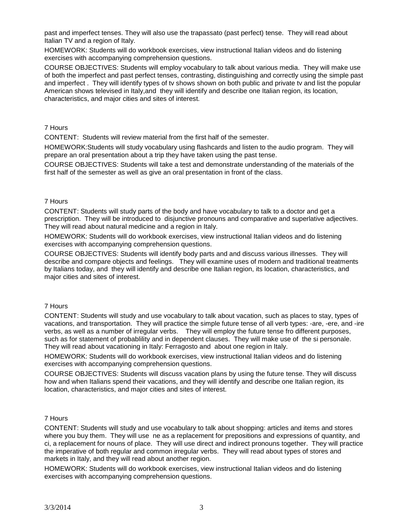past and imperfect tenses. They will also use the trapassato (past perfect) tense. They will read about Italian TV and a region of Italy.

HOMEWORK: Students will do workbook exercises, view instructional Italian videos and do listening exercises with accompanying comprehension questions.

COURSE OBJECTIVES: Students will employ vocabulary to talk about various media. They will make use of both the imperfect and past perfect tenses, contrasting, distinguishing and correctly using the simple past and imperfect . They will identify types of tv shows shown on both public and private tv and list the popular American shows televised in Italy,and they will identify and describe one Italian region, its location, characteristics, and major cities and sites of interest.

### 7 Hours

CONTENT: Students will review material from the first half of the semester.

HOMEWORK:Students will study vocabulary using flashcards and listen to the audio program. They will prepare an oral presentation about a trip they have taken using the past tense.

COURSE OBJECTIVES: Students will take a test and demonstrate understanding of the materials of the first half of the semester as well as give an oral presentation in front of the class.

#### 7 Hours

CONTENT: Students will study parts of the body and have vocabulary to talk to a doctor and get a prescription. They will be introduced to disjunctive pronouns and comparative and superlative adjectives. They will read about natural medicine and a region in Italy.

HOMEWORK: Students will do workbook exercises, view instructional Italian videos and do listening exercises with accompanying comprehension questions.

COURSE OBJECTIVES: Students will identify body parts and and discuss various illnesses. They will describe and compare objects and feelings. They will examine uses of modern and traditional treatments by Italians today, and they will identify and describe one Italian region, its location, characteristics, and major cities and sites of interest.

#### 7 Hours

CONTENT: Students will study and use vocabulary to talk about vacation, such as places to stay, types of vacations, and transportation. They will practice the simple future tense of all verb types: -are, -ere, and -ire verbs, as well as a number of irregular verbs. They will employ the future tense fro different purposes, such as for statement of probablility and in dependent clauses. They will make use of the si personale. They will read about vacationing in Italy: Ferragosto and about one region in Italy.

HOMEWORK: Students will do workbook exercises, view instructional Italian videos and do listening exercises with accompanying comprehension questions.

COURSE OBJECTIVES: Students will discuss vacation plans by using the future tense. They will discuss how and when Italians spend their vacations, and they will identify and describe one Italian region, its location, characteristics, and major cities and sites of interest.

## 7 Hours

CONTENT: Students will study and use vocabulary to talk about shopping: articles and items and stores where you buy them. They will use ne as a replacement for prepositions and expressions of quantity, and ci, a replacement for nouns of place. They will use direct and indirect pronouns together. They will practice the imperative of both regular and common irregular verbs. They will read about types of stores and markets in Italy, and they will read about another region.

HOMEWORK: Students will do workbook exercises, view instructional Italian videos and do listening exercises with accompanying comprehension questions.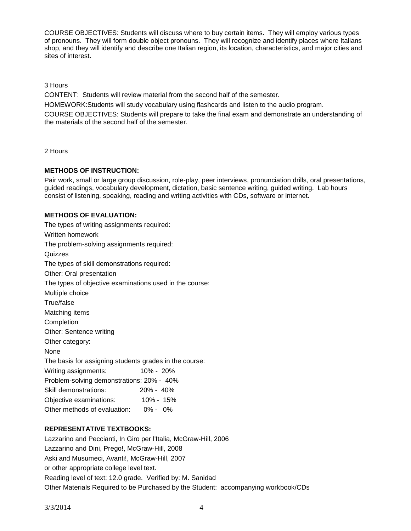COURSE OBJECTIVES: Students will discuss where to buy certain items. They will employ various types of pronouns. They will form double object pronouns. They will recognize and identify places where Italians shop, and they will identify and describe one Italian region, its location, characteristics, and major cities and sites of interest.

3 Hours

CONTENT: Students will review material from the second half of the semester.

HOMEWORK:Students will study vocabulary using flashcards and listen to the audio program.

COURSE OBJECTIVES: Students will prepare to take the final exam and demonstrate an understanding of the materials of the second half of the semester.

2 Hours

## **METHODS OF INSTRUCTION:**

Pair work, small or large group discussion, role-play, peer interviews, pronunciation drills, oral presentations, guided readings, vocabulary development, dictation, basic sentence writing, guided writing. Lab hours consist of listening, speaking, reading and writing activities with CDs, software or internet.

## **METHODS OF EVALUATION:**

| The types of writing assignments required:              |  |  |  |  |
|---------------------------------------------------------|--|--|--|--|
| Written homework                                        |  |  |  |  |
| The problem-solving assignments required:               |  |  |  |  |
| Quizzes                                                 |  |  |  |  |
| The types of skill demonstrations required:             |  |  |  |  |
| Other: Oral presentation                                |  |  |  |  |
| The types of objective examinations used in the course: |  |  |  |  |
| Multiple choice                                         |  |  |  |  |
| True/false                                              |  |  |  |  |
| Matching items                                          |  |  |  |  |
| Completion                                              |  |  |  |  |
| Other: Sentence writing                                 |  |  |  |  |
| Other category:                                         |  |  |  |  |
| None                                                    |  |  |  |  |
| The basis for assigning students grades in the course:  |  |  |  |  |
| 10% - 20%<br>Writing assignments:                       |  |  |  |  |
| Problem-solving demonstrations: 20% - 40%               |  |  |  |  |
| 20% - 40%<br>Skill demonstrations:                      |  |  |  |  |
| Objective examinations: 10% - 15%                       |  |  |  |  |
| Other methods of evaluation: 0% - 0%                    |  |  |  |  |
|                                                         |  |  |  |  |

# **REPRESENTATIVE TEXTBOOKS:**

Lazzarino and Peccianti, In Giro per l'Italia, McGraw-Hill, 2006 Lazzarino and Dini, Prego!, McGraw-Hill, 2008 Aski and Musumeci, Avanti!, McGraw-Hill, 2007 or other appropriate college level text. Reading level of text: 12.0 grade. Verified by: M. Sanidad Other Materials Required to be Purchased by the Student: accompanying workbook/CDs